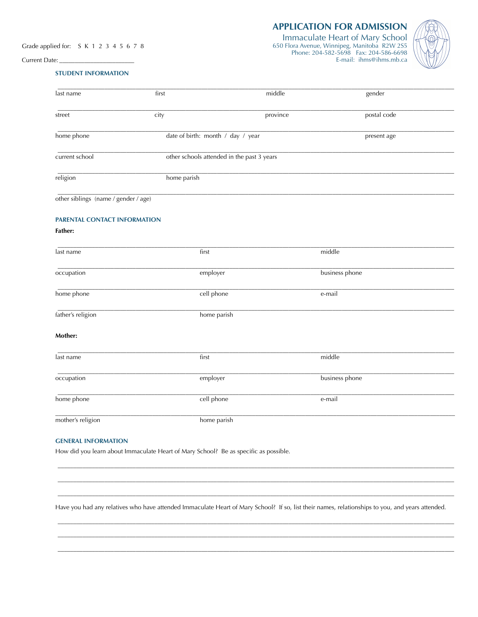# **APPLICATION FOR ADMISSION**

Immaculate Heart of Mary School<br>650 Flora Avenue, Winnipeg, Manitoba R2W 2S5<br>Phone: 204-582-5698 Fax: 204-586-6698 E-mail: ihms@ihms.mb.ca



#### Grade applied for: S K 1 2 3 4 5 6 7 8

Current Date:

#### **STUDENT INFORMATION**

| last name                            | first                             | middle                                     | gender         |  |
|--------------------------------------|-----------------------------------|--------------------------------------------|----------------|--|
| street                               | city                              | province                                   | postal code    |  |
| home phone                           | date of birth: month / day / year |                                            | present age    |  |
| current school                       |                                   | other schools attended in the past 3 years |                |  |
| religion                             | home parish                       |                                            |                |  |
| other siblings (name / gender / age) |                                   |                                            |                |  |
| PARENTAL CONTACT INFORMATION         |                                   |                                            |                |  |
| Father:                              |                                   |                                            |                |  |
| last name                            | first                             |                                            | middle         |  |
| occupation                           | employer                          |                                            | business phone |  |
| home phone                           | cell phone                        |                                            | e-mail         |  |
| father's religion                    |                                   | home parish                                |                |  |
| Mother:                              |                                   |                                            |                |  |
| last name                            | first                             |                                            |                |  |
| occupation                           | employer                          |                                            | business phone |  |
| home phone                           | cell phone                        |                                            | e-mail         |  |
| mother's religion                    |                                   | home parish                                |                |  |

## **GENERAL INFORMATION**

How did you learn about Immaculate Heart of Mary School? Be as specific as possible.

Have you had any relatives who have attended Immaculate Heart of Mary School? If so, list their names, relationships to you, and years attended.